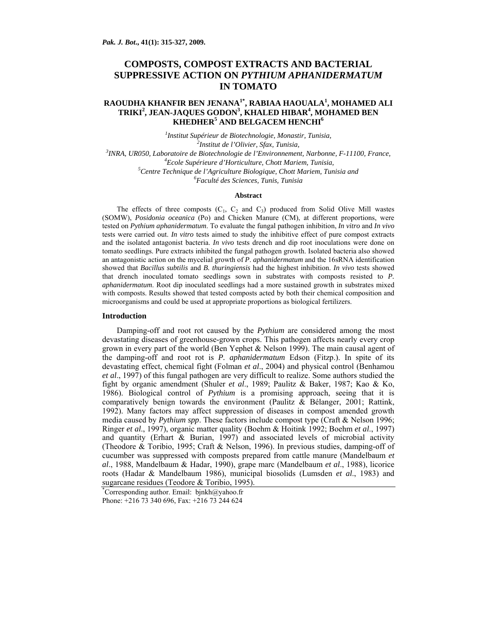# **COMPOSTS, COMPOST EXTRACTS AND BACTERIAL SUPPRESSIVE ACTION ON** *PYTHIUM APHANIDERMATUM*  **IN TOMATO**

## **RAOUDHA KHANFIR BEN JENANA1\*, RABIAA HAOUALA1 , MOHAMED ALI TRIKI<sup>2</sup> , JEAN-JAQUES GODON<sup>3</sup> , KHALED HIBAR<sup>4</sup> , MOHAMED BEN**   $\mathbf K$ HEDHER $^5$  AND BELGACEM HENCHI $^6$

*1 Institut Supérieur de Biotechnologie, Monastir, Tunisia, 2 Institut de l'Olivier, Sfax, Tunisia, 3 INRA, UR050, Laboratoire de Biotechnologie de l'Environnement, Narbonne, F-11100, France, 4 Ecole Supérieure d'Horticulture, Chott Mariem, Tunisia, 5* <sup>5</sup> Centre Technique de l'Agriculture Biologique, Chott Mariem, Tunisia and *Faculté des Sciences, Tunis, Tunisia* 

### **Abstract**

The effects of three composts  $(C_1, C_2$  and  $C_3$ ) produced from Solid Olive Mill wastes (SOMW), *Posidonia oceanica* (Po) and Chicken Manure (CM), at different proportions, were tested on *Pythium aphanidermatum*. To evaluate the fungal pathogen inhibition, *In vitro* and *In vivo* tests were carried out. *In vitro* tests aimed to study the inhibitive effect of pure compost extracts and the isolated antagonist bacteria. *In vivo* tests drench and dip root inoculations were done on tomato seedlings. Pure extracts inhibited the fungal pathogen growth. Isolated bacteria also showed an antagonistic action on the mycelial growth of *P*. *aphanidermatum* and the 16sRNA identification showed that *Bacillus subtilis* and *B. thuringiensis* had the highest inhibition. *In vivo* tests showed that drench inoculated tomato seedlings sown in substrates with composts resisted to *P. aphanidermatum*. Root dip inoculated seedlings had a more sustained growth in substrates mixed with composts. Results showed that tested composts acted by both their chemical composition and microorganisms and could be used at appropriate proportions as biological fertilizers.

#### **Introduction**

Damping-off and root rot caused by the *Pythium* are considered among the most devastating diseases of greenhouse-grown crops. This pathogen affects nearly every crop grown in every part of the world (Ben Yephet & Nelson 1999). The main causal agent of the damping-off and root rot is *P. aphanidermatum* Edson (Fitzp.). In spite of its devastating effect, chemical fight (Folman *et al*., 2004) and physical control (Benhamou *et al*., 1997) of this fungal pathogen are very difficult to realize. Some authors studied the fight by organic amendment (Shuler *et al*., 1989; Paulitz & Baker, 1987; Kao & Ko, 1986). Biological control of *Pythium* is a promising approach, seeing that it is comparatively benign towards the environment (Paulitz & Bélanger, 2001; Rattink, 1992). Many factors may affect suppression of diseases in compost amended growth media caused by *Pythium spp*. These factors include compost type (Craft & Nelson 1996; Ringer *et al*., 1997), organic matter quality (Boehm & Hoitink 1992; Boehm *et al*., 1997) and quantity (Erhart & Burian, 1997) and associated levels of microbial activity (Theodore & Toribio, 1995; Craft & Nelson, 1996). In previous studies, damping-off of cucumber was suppressed with composts prepared from cattle manure (Mandelbaum *et al*., 1988, Mandelbaum & Hadar, 1990), grape marc (Mandelbaum *et al*., 1988), licorice roots (Hadar & Mandelbaum 1986), municipal biosolids (Lumsden *et al*., 1983) and sugarcane residues (Teodore & Toribio, 1995).

\* Corresponding author. Email: bjnkh@yahoo.fr Phone: +216 73 340 696, Fax: +216 73 244 624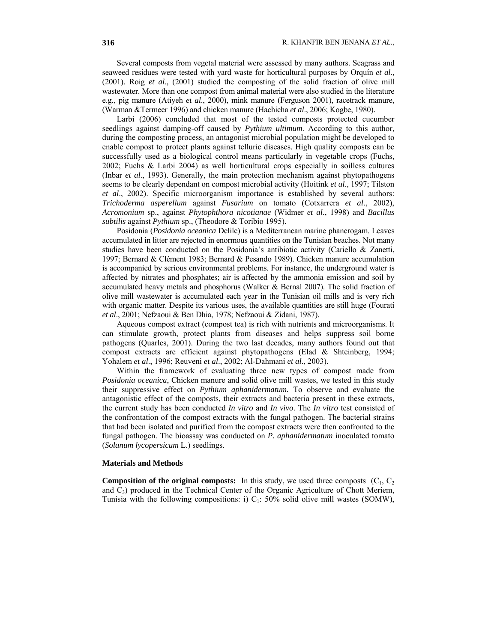Several composts from vegetal material were assessed by many authors. Seagrass and seaweed residues were tested with yard waste for horticultural purposes by Orquín *et al*., (2001). Roig *et al*., (2001) studied the composting of the solid fraction of olive mill wastewater. More than one compost from animal material were also studied in the literature e.g., pig manure (Atiyeh *et al*., 2000), mink manure (Ferguson 2001), racetrack manure, (Warman &Termeer 1996) and chicken manure (Hachicha *et al*., 2006; Kogbe, 1980).

Larbi (2006) concluded that most of the tested composts protected cucumber seedlings against damping-off caused by *Pythium ultimum*. According to this author, during the composting process, an antagonist microbial population might be developed to enable compost to protect plants against telluric diseases. High quality composts can be successfully used as a biological control means particularly in vegetable crops (Fuchs, 2002; Fuchs & Larbi 2004) as well horticultural crops especially in soilless cultures (Inbar *et al*., 1993). Generally, the main protection mechanism against phytopathogens seems to be clearly dependant on compost microbial activity (Hoitink *et al*., 1997; Tilston *et al*., 2002). Specific microorganism importance is established by several authors: *Trichoderma asperellum* against *Fusarium* on tomato (Cotxarrera *et al*., 2002), *Acromonium* sp., against *Phytophthora nicotianae* (Widmer *et al*., 1998) and *Bacillus subtilis* against *Pythium* sp., (Theodore & Toribio 1995).

Posidonia (*Posidonia oceanica* Delile) is a Mediterranean marine phanerogam. Leaves accumulated in litter are rejected in enormous quantities on the Tunisian beaches. Not many studies have been conducted on the Posidonia's antibiotic activity (Cariello & Zanetti, 1997; Bernard & Clément 1983; Bernard & Pesando 1989). Chicken manure accumulation is accompanied by serious environmental problems. For instance, the underground water is affected by nitrates and phosphates; air is affected by the ammonia emission and soil by accumulated heavy metals and phosphorus (Walker & Bernal 2007). The solid fraction of olive mill wastewater is accumulated each year in the Tunisian oil mills and is very rich with organic matter. Despite its various uses, the available quantities are still huge (Fourati *et al*., 2001; Nefzaoui & Ben Dhia, 1978; Nefzaoui & Zidani, 1987).

Aqueous compost extract (compost tea) is rich with nutrients and microorganisms. It can stimulate growth, protect plants from diseases and helps suppress soil borne pathogens (Quarles, 2001). During the two last decades, many authors found out that compost extracts are efficient against phytopathogens (Elad & Shteinberg, 1994; Yohalem *et al*., 1996; Reuveni *et al*., 2002; Al-Dahmani *et al*., 2003).

Within the framework of evaluating three new types of compost made from *Posidonia oceanica*, Chicken manure and solid olive mill wastes, we tested in this study their suppressive effect on *Pythium aphanidermatum.* To observe and evaluate the antagonistic effect of the composts, their extracts and bacteria present in these extracts, the current study has been conducted *In vitro* and *In vivo*. The *In vitro* test consisted of the confrontation of the compost extracts with the fungal pathogen. The bacterial strains that had been isolated and purified from the compost extracts were then confronted to the fungal pathogen. The bioassay was conducted on *P. aphanidermatum* inoculated tomato (*Solanum lycopersicum* L.) seedlings.

#### **Materials and Methods**

**Composition of the original composts:** In this study, we used three composts  $(C_1, C_2)$ and  $C_3$ ) produced in the Technical Center of the Organic Agriculture of Chott Meriem, Tunisia with the following compositions: i)  $C_1$ : 50% solid olive mill wastes (SOMW),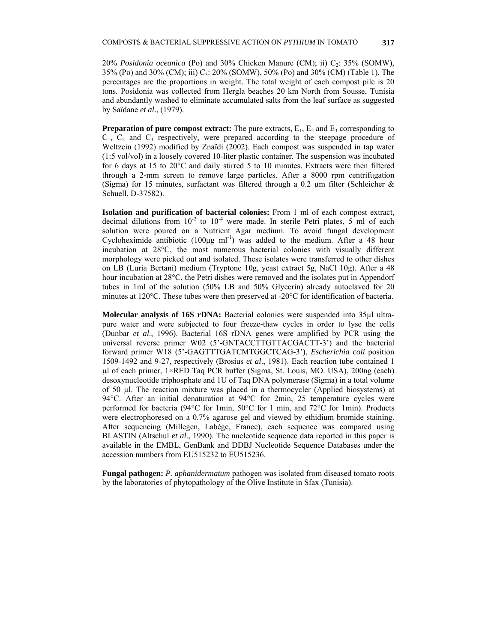20% *Posidonia oceanica* (Po) and 30% Chicken Manure (CM); ii) C2: 35% (SOMW), 35% (Po) and 30% (CM); iii) C<sub>3</sub>: 20% (SOMW), 50% (Po) and 30% (CM) (Table 1). The percentages are the proportions in weight. The total weight of each compost pile is 20 tons. Posidonia was collected from Hergla beaches 20 km North from Sousse, Tunisia and abundantly washed to eliminate accumulated salts from the leaf surface as suggested by Saïdane *et al*., (1979).

**Preparation of pure compost extract:** The pure extracts,  $E_1$ ,  $E_2$  and  $E_3$  corresponding to  $C_1$ ,  $C_2$  and  $C_3$  respectively, were prepared according to the steepage procedure of Weltzein (1992) modified by Znaïdi (2002). Each compost was suspended in tap water (1:5 vol/vol) in a loosely covered 10-liter plastic container. The suspension was incubated for 6 days at 15 to 20°C and daily stirred 5 to 10 minutes. Extracts were then filtered through a 2-mm screen to remove large particles. After a 8000 rpm centrifugation (Sigma) for 15 minutes, surfactant was filtered through a 0.2  $\mu$ m filter (Schleicher & Schuell, D-37582).

**Isolation and purification of bacterial colonies:** From 1 ml of each compost extract, decimal dilutions from  $10^{-2}$  to  $10^{-4}$  were made. In sterile Petri plates, 5 ml of each solution were poured on a Nutrient Agar medium. To avoid fungal development Cycloheximide antibiotic  $(100\mu g \text{ ml}^{-1})$  was added to the medium. After a 48 hour incubation at 28°C, the most numerous bacterial colonies with visually different morphology were picked out and isolated. These isolates were transferred to other dishes on LB (Luria Bertani) medium (Tryptone 10g, yeast extract 5g, NaCl 10g). After a 48 hour incubation at 28°C, the Petri dishes were removed and the isolates put in Appendorf tubes in 1ml of the solution (50% LB and 50% Glycerin) already autoclaved for 20 minutes at 120°C. These tubes were then preserved at -20°C for identification of bacteria.

**Molecular analysis of 16S rDNA:** Bacterial colonies were suspended into 35µl ultrapure water and were subjected to four freeze-thaw cycles in order to lyse the cells (Dunbar *et al*., 1996). Bacterial 16S rDNA genes were amplified by PCR using the universal reverse primer W02 (5'-GNTACCTTGTTACGACTT-3') and the bacterial forward primer W18 (5'-GAGTTTGATCMTGGCTCAG-3'), *Escherichia coli* position 1509-1492 and 9-27, respectively (Brosius *et al*., 1981). Each reaction tube contained 1 µl of each primer, 1×RED Taq PCR buffer (Sigma, St. Louis, MO. USA), 200ng (each) desoxynucleotide triphosphate and 1U of Taq DNA polymerase (Sigma) in a total volume of 50 µl. The reaction mixture was placed in a thermocycler (Applied biosystems) at 94°C. After an initial denaturation at 94°C for 2min, 25 temperature cycles were performed for bacteria (94°C for 1min, 50°C for 1 min, and 72°C for 1min). Products were electrophoresed on a 0.7% agarose gel and viewed by ethidium bromide staining. After sequencing (Millegen, Labège, France), each sequence was compared using BLASTIN (Altschul *et al*., 1990). The nucleotide sequence data reported in this paper is available in the EMBL, GenBank and DDBJ Nucleotide Sequence Databases under the accession numbers from EU515232 to EU515236.

**Fungal pathogen:** *P. aphanidermatum* pathogen was isolated from diseased tomato roots by the laboratories of phytopathology of the Olive Institute in Sfax (Tunisia).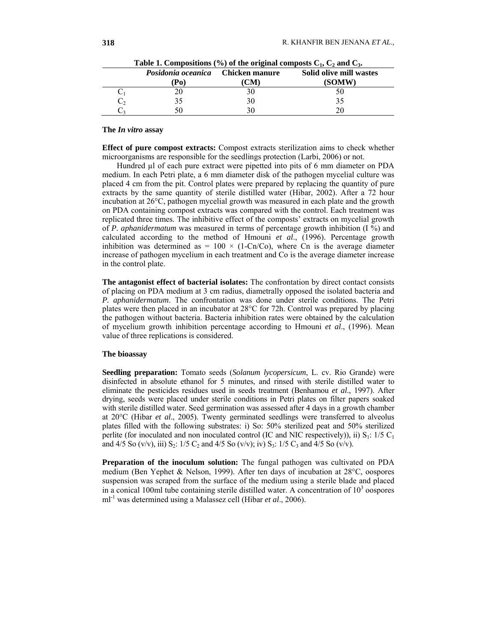| Posidonia oceanica<br>Po | <b>Chicken manure</b><br>CМ | Solid olive mill wastes<br>(SOMW) |
|--------------------------|-----------------------------|-----------------------------------|
|                          |                             |                                   |
|                          | 3U                          |                                   |
|                          |                             |                                   |

Table 1. Compositions  $(\%)$  of the original composts  $C_1$ ,  $C_2$  and  $C_3$ .

#### **The** *In vitro* **assay**

**Effect of pure compost extracts:** Compost extracts sterilization aims to check whether microorganisms are responsible for the seedlings protection (Larbi, 2006) or not.

Hundred µl of each pure extract were pipetted into pits of 6 mm diameter on PDA medium. In each Petri plate, a 6 mm diameter disk of the pathogen mycelial culture was placed 4 cm from the pit. Control plates were prepared by replacing the quantity of pure extracts by the same quantity of sterile distilled water (Hibar, 2002). After a 72 hour incubation at 26°C, pathogen mycelial growth was measured in each plate and the growth on PDA containing compost extracts was compared with the control. Each treatment was replicated three times. The inhibitive effect of the composts' extracts on mycelial growth of *P. aphanidermatum* was measured in terms of percentage growth inhibition (I %) and calculated according to the method of Hmouni *et al*., (1996). Percentage growth inhibition was determined as =  $100 \times (1 \text{-Cn/Co})$ , where Cn is the average diameter increase of pathogen mycelium in each treatment and Co is the average diameter increase in the control plate.

**The antagonist effect of bacterial isolates:** The confrontation by direct contact consists of placing on PDA medium at 3 cm radius, diametrally opposed the isolated bacteria and *P. aphanidermatum*. The confrontation was done under sterile conditions. The Petri plates were then placed in an incubator at 28°C for 72h. Control was prepared by placing the pathogen without bacteria. Bacteria inhibition rates were obtained by the calculation of mycelium growth inhibition percentage according to Hmouni *et al*., (1996). Mean value of three replications is considered.

### **The bioassay**

**Seedling preparation:** Tomato seeds (*Solanum lycopersicum*, L. cv. Rio Grande) were disinfected in absolute ethanol for 5 minutes, and rinsed with sterile distilled water to eliminate the pesticides residues used in seeds treatment (Benhamou *et al*., 1997). After drying, seeds were placed under sterile conditions in Petri plates on filter papers soaked with sterile distilled water. Seed germination was assessed after 4 days in a growth chamber at 20°C (Hibar *et al*., 2005). Twenty germinated seedlings were transferred to alveolus plates filled with the following substrates: i) So: 50% sterilized peat and 50% sterilized perlite (for inoculated and non inoculated control (IC and NIC respectively)), ii)  $S_1$ : 1/5 C<sub>1</sub> and 4/5 So (v/v), iii) S<sub>2</sub>: 1/5 C<sub>2</sub> and 4/5 So (v/v); iv) S<sub>3</sub>: 1/5 C<sub>3</sub> and 4/5 So (v/v).

**Preparation of the inoculum solution:** The fungal pathogen was cultivated on PDA medium (Ben Yephet & Nelson, 1999). After ten days of incubation at 28°C, oospores suspension was scraped from the surface of the medium using a sterile blade and placed in a conical 100ml tube containing sterile distilled water. A concentration of  $10<sup>3</sup>$  oospores ml-1 was determined using a Malassez cell (Hibar *et al*., 2006).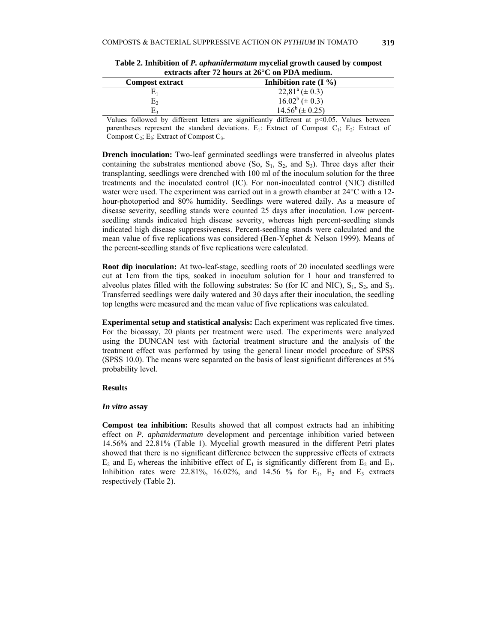| <u>VAN MUNT MENT THE HOMED WE HOT OF THE LIGHT HERMINIST</u> |                                             |  |  |  |
|--------------------------------------------------------------|---------------------------------------------|--|--|--|
| Inhibition rate $(I\% )$                                     |                                             |  |  |  |
| $22,81^a \ (\pm 0.3)$                                        |                                             |  |  |  |
|                                                              |                                             |  |  |  |
|                                                              |                                             |  |  |  |
|                                                              | $16.02^b (\pm 0.3)$<br>$14.56^b (\pm 0.25)$ |  |  |  |

**Table 2. Inhibition of** *P. aphanidermatum* **mycelial growth caused by compost extracts after 72 hours at 26°C on PDA medium.** 

Values followed by different letters are significantly different at  $p$  <0.05. Values between parentheses represent the standard deviations.  $E_1$ : Extract of Compost  $C_1$ ;  $E_2$ : Extract of Compost  $C_2$ ; E<sub>3</sub>: Extract of Compost  $C_3$ .

**Drench inoculation:** Two-leaf germinated seedlings were transferred in alveolus plates containing the substrates mentioned above  $(S_0, S_1, S_2, S_3)$ . Three days after their transplanting, seedlings were drenched with 100 ml of the inoculum solution for the three treatments and the inoculated control (IC). For non-inoculated control (NIC) distilled water were used. The experiment was carried out in a growth chamber at 24<sup>o</sup>C with a 12hour-photoperiod and 80% humidity. Seedlings were watered daily. As a measure of disease severity, seedling stands were counted 25 days after inoculation. Low percentseedling stands indicated high disease severity, whereas high percent-seedling stands indicated high disease suppressiveness. Percent-seedling stands were calculated and the mean value of five replications was considered (Ben-Yephet & Nelson 1999). Means of the percent-seedling stands of five replications were calculated.

**Root dip inoculation:** At two-leaf-stage, seedling roots of 20 inoculated seedlings were cut at 1cm from the tips, soaked in inoculum solution for 1 hour and transferred to alveolus plates filled with the following substrates: So (for IC and NIC),  $S_1$ ,  $S_2$ , and  $S_3$ . Transferred seedlings were daily watered and 30 days after their inoculation, the seedling top lengths were measured and the mean value of five replications was calculated.

**Experimental setup and statistical analysis:** Each experiment was replicated five times. For the bioassay, 20 plants per treatment were used. The experiments were analyzed using the DUNCAN test with factorial treatment structure and the analysis of the treatment effect was performed by using the general linear model procedure of SPSS (SPSS 10.0). The means were separated on the basis of least significant differences at 5% probability level.

#### **Results**

#### *In vitro* **assay**

**Compost tea inhibition:** Results showed that all compost extracts had an inhibiting effect on *P. aphanidermatum* development and percentage inhibition varied between 14.56% and 22.81% (Table 1). Mycelial growth measured in the different Petri plates showed that there is no significant difference between the suppressive effects of extracts  $E_2$  and  $E_3$  whereas the inhibitive effect of  $E_1$  is significantly different from  $E_2$  and  $E_3$ . Inhibition rates were 22.81%, 16.02%, and 14.56 % for  $E_1$ ,  $E_2$  and  $E_3$  extracts respectively (Table 2).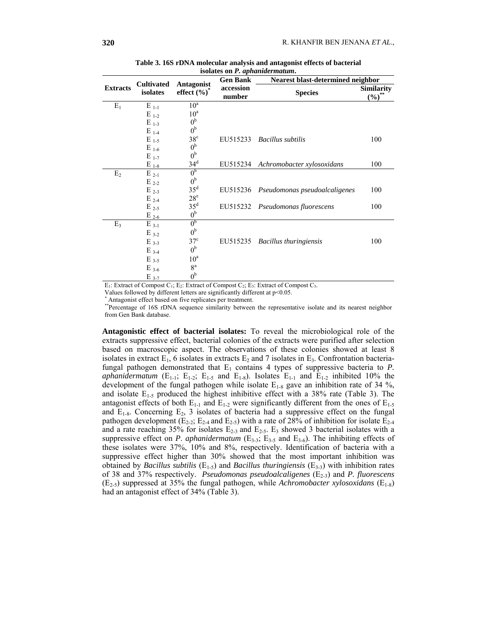|                 |                               |                               | <b>Gen Bank</b>     | Nearest blast-determined neighbor      |                                 |  |
|-----------------|-------------------------------|-------------------------------|---------------------|----------------------------------------|---------------------------------|--|
| <b>Extracts</b> | <b>Cultivated</b><br>isolates | Antagonist<br>effect $(\%)^*$ | accession<br>number | <b>Species</b>                         | <b>Similarity</b><br>$(\%)^{*}$ |  |
| $E_1$           | $E_{1-1}$                     | $10^a$                        |                     |                                        |                                 |  |
|                 | $E_{1-2}$                     | 10 <sup>a</sup>               |                     |                                        |                                 |  |
|                 | $E_{1-3}$                     | 0 <sup>b</sup>                |                     |                                        |                                 |  |
|                 | $E_{1-4}$                     | 0 <sup>b</sup>                |                     |                                        |                                 |  |
|                 | $E_{1-5}$                     | $38^{\circ}$                  | EU515233            | <b>Bacillus subtilis</b>               | 100                             |  |
|                 | $E_{1-6}$                     | 0 <sup>b</sup>                |                     |                                        |                                 |  |
|                 | $E_{1-7}$                     | 0 <sup>b</sup>                |                     |                                        |                                 |  |
|                 | $E_{1-8}$                     | 34 <sup>d</sup>               |                     | EU515234 Achromobacter xylosoxidans    | 100                             |  |
| E <sub>2</sub>  | $E_{2-1}$                     | 0 <sub>p</sub>                |                     |                                        |                                 |  |
|                 | $E_{2-2}$                     | 0 <sup>b</sup>                |                     |                                        |                                 |  |
|                 | $E_{2-3}$                     | $35^d$                        |                     | EU515236 Pseudomonas pseudoalcaligenes | 100                             |  |
|                 | $E_{2-4}$                     | $28^{\circ}$                  |                     |                                        |                                 |  |
|                 | $E_{2-5}$                     | 35 <sup>d</sup>               |                     | EU515232 Pseudomonas fluorescens       | 100                             |  |
|                 | $E_{2-6}$                     | 0 <sup>b</sup>                |                     |                                        |                                 |  |
| $E_3$           | $E_{3-1}$                     | 0 <sub>p</sub>                |                     |                                        |                                 |  |
|                 | $E_{3-2}$                     | 0 <sup>b</sup>                |                     |                                        |                                 |  |
|                 | $E_{3-3}$                     | $37^{\circ}$                  | EU515235            | <b>Bacillus thuringiensis</b>          | 100                             |  |
|                 | $E_{3-4}$                     | 0 <sup>b</sup>                |                     |                                        |                                 |  |
|                 | $E_{3.5}$                     | $10^a$                        |                     |                                        |                                 |  |
|                 | $E_{3-6}$                     | 8 <sup>a</sup>                |                     |                                        |                                 |  |
|                 | $E_{3-7}$                     | 0 <sup>b</sup>                |                     |                                        |                                 |  |

**Table 3. 16S rDNA molecular analysis and antagonist effects of bacterial isolates on** *P. aphanidermatum***.** 

E<sub>1</sub>: Extract of Compost C<sub>1</sub>; E<sub>2</sub>: Extract of Compost C<sub>2</sub>; E<sub>3</sub>: Extract of Compost C<sub>3</sub>.

Values followed by different letters are significantly different at p<0.05.

*\** Antagonist effect based on five replicates per treatment.

*\*\**Percentage of 16S rDNA sequence similarity between the representative isolate and its nearest neighbor from Gen Bank database.

**Antagonistic effect of bacterial isolates:** To reveal the microbiological role of the extracts suppressive effect, bacterial colonies of the extracts were purified after selection based on macroscopic aspect. The observations of these colonies showed at least 8 isolates in extract  $E_1$ , 6 isolates in extracts  $E_2$  and 7 isolates in  $E_3$ . Confrontation bacteriafungal pathogen demonstrated that  $E_1$  contains 4 types of suppressive bacteria to  $P$ . *aphanidermatum* ( $E_{1-1}$ ;  $E_{1-2}$ ;  $E_{1-5}$  and  $E_{1-8}$ ). Isolates  $E_{1-1}$  and  $E_{1-2}$  inhibited 10% the development of the fungal pathogen while isolate  $E_{1-8}$  gave an inhibition rate of 34 %, and isolate  $E_{1-5}$  produced the highest inhibitive effect with a 38% rate (Table 3). The antagonist effects of both  $E_{1-1}$  and  $E_{1-2}$  were significantly different from the ones of  $E_{1-5}$ and  $E_{1-8}$ . Concerning  $E_2$ , 3 isolates of bacteria had a suppressive effect on the fungal pathogen development ( $E_{2-2}$ ;  $E_{2-4}$  and  $E_{2-5}$ ) with a rate of 28% of inhibition for isolate  $E_{2-4}$ and a rate reaching 35% for isolates  $E_{2-3}$  and  $E_{2-5}$ .  $E_3$  showed 3 bacterial isolates with a suppressive effect on *P. aphanidermatum*  $(E_{3\cdot3}; E_{3\cdot5}$  and  $E_{3\cdot6}$ ). The inhibiting effects of these isolates were 37%, 10% and 8%, respectively. Identification of bacteria with a suppressive effect higher than 30% showed that the most important inhibition was obtained by *Bacillus subtilis* (E1-5) and *Bacillus thuringiensis* (E3-3) with inhibition rates of 38 and 37% respectively. *Pseudomonas pseudoalcaligenes* (E2-3) and *P. fluorescens*  $(E_{2-5})$  suppressed at 35% the fungal pathogen, while *Achromobacter xylosoxidans*  $(E_{1-8})$ had an antagonist effect of 34% (Table 3).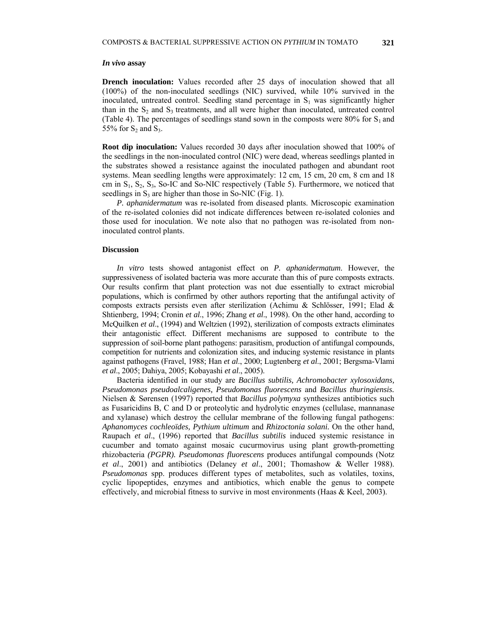## *In vivo* **assay**

**Drench inoculation:** Values recorded after 25 days of inoculation showed that all (100%) of the non-inoculated seedlings (NIC) survived, while 10% survived in the inoculated, untreated control. Seedling stand percentage in  $S_1$  was significantly higher than in the  $S_2$  and  $S_3$  treatments, and all were higher than inoculated, untreated control (Table 4). The percentages of seedlings stand sown in the composts were 80% for  $S_1$  and 55% for  $S_2$  and  $S_3$ .

**Root dip inoculation:** Values recorded 30 days after inoculation showed that 100% of the seedlings in the non-inoculated control (NIC) were dead, whereas seedlings planted in the substrates showed a resistance against the inoculated pathogen and abundant root systems. Mean seedling lengths were approximately: 12 cm, 15 cm, 20 cm, 8 cm and 18 cm in  $S_1$ ,  $S_2$ ,  $S_3$ , So-IC and So-NIC respectively (Table 5). Furthermore, we noticed that seedlings in  $S_3$  are higher than those in So-NIC (Fig. 1).

*P. aphanidermatum* was re-isolated from diseased plants. Microscopic examination of the re-isolated colonies did not indicate differences between re-isolated colonies and those used for inoculation. We note also that no pathogen was re-isolated from noninoculated control plants.

#### **Discussion**

*In vitro* tests showed antagonist effect on *P. aphanidermatum*. However, the suppressiveness of isolated bacteria was more accurate than this of pure composts extracts. Our results confirm that plant protection was not due essentially to extract microbial populations, which is confirmed by other authors reporting that the antifungal activity of composts extracts persists even after sterilization (Achimu & Schlösser, 1991; Elad & Shtienberg, 1994; Cronin *et al*., 1996; Zhang *et al*., 1998). On the other hand, according to McQuilken *et al*., (1994) and Weltzien (1992), sterilization of composts extracts eliminates their antagonistic effect. Different mechanisms are supposed to contribute to the suppression of soil-borne plant pathogens: parasitism, production of antifungal compounds, competition for nutrients and colonization sites, and inducing systemic resistance in plants against pathogens (Fravel, 1988; Han *et al*., 2000; Lugtenberg *et al*., 2001; Bergsma-Vlami *et al*., 2005; Dahiya, 2005; Kobayashi *et al*., 2005).

Bacteria identified in our study are *Bacillus subtilis, Achromobacter xylosoxidans, Pseudomonas pseudoalcaligenes, Pseudomonas fluorescens* and *Bacillus thuringiensis.*  Nielsen & Sørensen (1997) reported that *Bacillus polymyxa* synthesizes antibiotics such as Fusaricidins B, C and D or proteolytic and hydrolytic enzymes (cellulase, mannanase and xylanase) which destroy the cellular membrane of the following fungal pathogens: *Aphanomyces cochleoïdes, Pythium ultimum* and *Rhizoctonia solani.* On the other hand, Raupach *et al*., (1996) reported that *Bacillus subtilis* induced systemic resistance in cucumber and tomato against mosaic cucurmovirus using plant growth-prometting rhizobacteria *(PGPR). Pseudomonas fluorescens* produces antifungal compounds (Notz *et al*., 2001) and antibiotics (Delaney *et al*., 2001; Thomashow & Weller 1988). *Pseudomonas* spp. produces different types of metabolites, such as volatiles, toxins, cyclic lipopeptides, enzymes and antibiotics, which enable the genus to compete effectively, and microbial fitness to survive in most environments (Haas & Keel, 2003).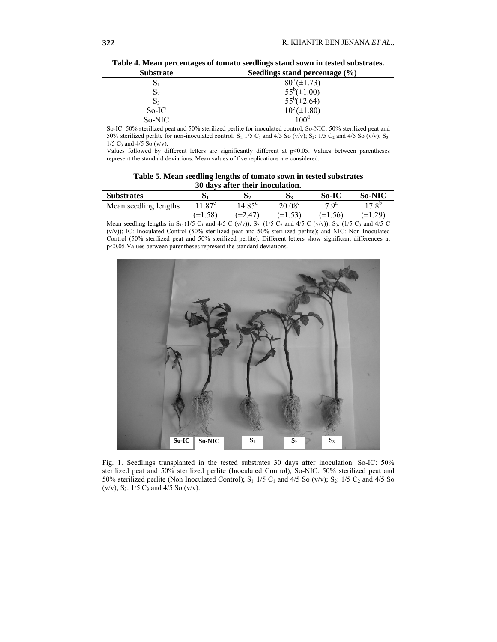| <b>Substrate</b> | Seedlings stand percentage $(\% )$ |  |
|------------------|------------------------------------|--|
| 0١               | $80^a (\pm 1.73)$                  |  |
| $\mathbf{D}_2$   | $55^b(\pm 1.00)$                   |  |
| $\mathbf{S}_3$   | $55^b(\pm 2.64)$                   |  |
| So-IC            | $10^{\circ} (\pm 1.80)$            |  |
| So-NIC           | 100 <sup>d</sup>                   |  |

**Table 4. Mean percentages of tomato seedlings stand sown in tested substrates.** 

So-IC: 50% sterilized peat and 50% sterilized perlite for inoculated control, So-NIC: 50% sterilized peat and 50% sterilized perlite for non-inoculated control; S<sub>1</sub>: 1/5 C<sub>1</sub> and 4/5 So (v/v); S<sub>2</sub>: 1/5 C<sub>2</sub> and 4/5 So (v/v); S<sub>3</sub>:  $1/5$  C<sub>3</sub> and  $4/5$  So (v/v).

Values followed by different letters are significantly different at p<0.05. Values between parentheses represent the standard deviations. Mean values of five replications are considered.

**Table 5. Mean seedling lengths of tomato sown in tested substrates 30 days after their inoculation.** 

| <b>Substrates</b>     | D.                | $\mathcal{D}$  | $D^{\sigma}$    | So-IC        | <b>So-NIC</b>  |
|-----------------------|-------------------|----------------|-----------------|--------------|----------------|
| Mean seedling lengths | 1.87 <sup>c</sup> | $4.85^{\rm d}$ | $20.08^{\rm e}$ | $7 \Omega^a$ | $17.8^{\circ}$ |
|                       | $(\pm 1.58)$      | (±2.47`        | $(\pm 1.53)$    | $(\pm 1.56)$ | $(\pm 1.29)$   |

Mean seedling lengths in  $S_1$ : (1/5 C<sub>1</sub> and 4/5 C (v/v));  $S_2$ : (1/5 C<sub>2</sub> and 4/5 C (v/v));  $S_3$ : (1/5 C<sub>3</sub> and 4/5 C (v/v)); IC: Inoculated Control (50% sterilized peat and 50% sterilized perlite); and NIC: Non Inoculated Control (50% sterilized peat and 50% sterilized perlite). Different letters show significant differences at p<0.05.Values between parentheses represent the standard deviations.



Fig. 1. Seedlings transplanted in the tested substrates 30 days after inoculation. So-IC: 50% sterilized peat and 50% sterilized perlite (Inoculated Control), So-NIC: 50% sterilized peat and 50% sterilized perlite (Non Inoculated Control); S<sub>1</sub>: 1/5 C<sub>1</sub> and 4/5 So (v/v); S<sub>2</sub>: 1/5 C<sub>2</sub> and 4/5 So (v/v);  $S_3$ : 1/5  $C_3$  and 4/5 So (v/v).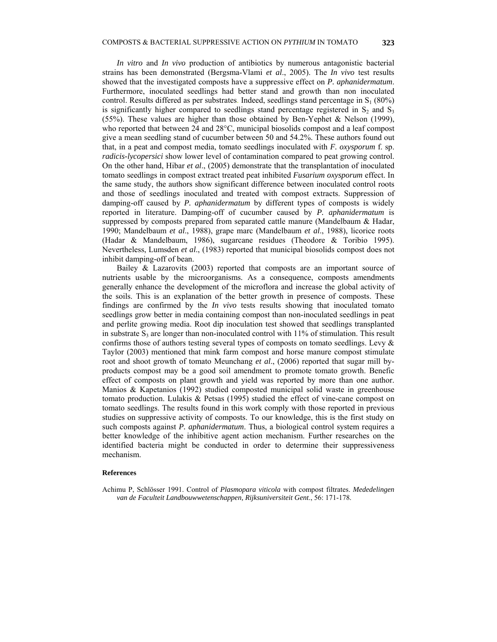*In vitro* and *In vivo* production of antibiotics by numerous antagonistic bacterial strains has been demonstrated (Bergsma-Vlami *et al*., 2005). The *In vivo* test results showed that the investigated composts have a suppressive effect on *P. aphanidermatum*. Furthermore, inoculated seedlings had better stand and growth than non inoculated control. Results differed as per substrates. Indeed, seedlings stand percentage in  $S_1$  (80%) is significantly higher compared to seedlings stand percentage registered in  $S_2$  and  $S_3$ (55%). These values are higher than those obtained by Ben-Yephet & Nelson (1999), who reported that between 24 and 28<sup>o</sup>C, municipal biosolids compost and a leaf compost give a mean seedling stand of cucumber between 50 and 54.2%. These authors found out that, in a peat and compost media, tomato seedlings inoculated with *F. oxysporum* f. sp. *radicis-lycopersici* show lower level of contamination compared to peat growing control. On the other hand, Hibar *et al*., (2005) demonstrate that the transplantation of inoculated tomato seedlings in compost extract treated peat inhibited *Fusarium oxysporum* effect. In the same study, the authors show significant difference between inoculated control roots and those of seedlings inoculated and treated with compost extracts. Suppression of damping-off caused by *P. aphanidermatum* by different types of composts is widely reported in literature. Damping-off of cucumber caused by *P. aphanidermatum* is suppressed by composts prepared from separated cattle manure (Mandelbaum & Hadar, 1990; Mandelbaum *et al*., 1988), grape marc (Mandelbaum *et al*., 1988), licorice roots (Hadar & Mandelbaum, 1986), sugarcane residues (Theodore & Toribio 1995). Nevertheless, Lumsden *et al*., (1983) reported that municipal biosolids compost does not inhibit damping-off of bean.

Bailey & Lazarovits (2003) reported that composts are an important source of nutrients usable by the microorganisms. As a consequence, composts amendments generally enhance the development of the microflora and increase the global activity of the soils. This is an explanation of the better growth in presence of composts. These findings are confirmed by the *In vivo* tests results showing that inoculated tomato seedlings grow better in media containing compost than non-inoculated seedlings in peat and perlite growing media. Root dip inoculation test showed that seedlings transplanted in substrate  $S_3$  are longer than non-inoculated control with 11% of stimulation. This result confirms those of authors testing several types of composts on tomato seedlings. Levy & Taylor (2003) mentioned that mink farm compost and horse manure compost stimulate root and shoot growth of tomato Meunchang *et al*., (2006) reported that sugar mill byproducts compost may be a good soil amendment to promote tomato growth. Benefic effect of composts on plant growth and yield was reported by more than one author. Manios & Kapetanios (1992) studied composted municipal solid waste in greenhouse tomato production. Lulakis & Petsas (1995) studied the effect of vine-cane compost on tomato seedlings. The results found in this work comply with those reported in previous studies on suppressive activity of composts. To our knowledge, this is the first study on such composts against *P. aphanidermatum*. Thus, a biological control system requires a better knowledge of the inhibitive agent action mechanism. Further researches on the identified bacteria might be conducted in order to determine their suppressiveness mechanism.

## **References**

Achimu P, Schlösser 1991. Control of *Plasmopara viticola* with compost filtrates. *Mededelingen van de Faculteit Landbouwwetenschappen, Rijksuniversiteit Gent*., 56: 171-178.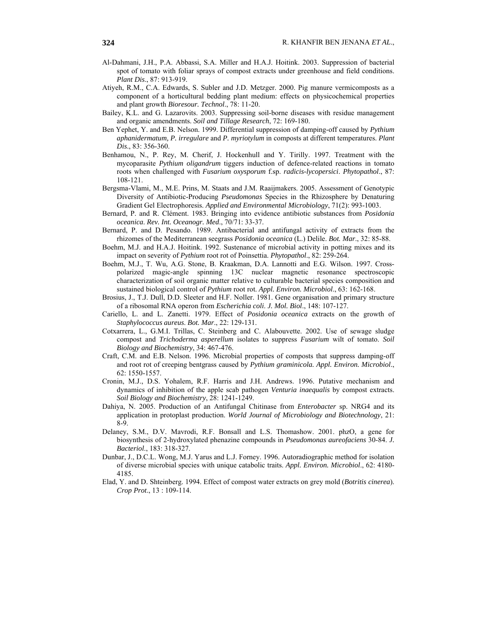- Al-Dahmani, J.H., P.A. Abbassi, S.A. Miller and H.A.J. Hoitink. 2003. Suppression of bacterial spot of tomato with foliar sprays of compost extracts under greenhouse and field conditions. *Plant Dis*., 87: 913-919.
- Atiyeh, R.M., C.A. Edwards, S. Subler and J.D. Metzger. 2000. Pig manure vermicomposts as a component of a horticultural bedding plant medium: effects on physicochemical properties and plant growth *Bioresour. Technol*., 78: 11-20.
- Bailey, K.L. and G. Lazarovits. 2003. Suppressing soil-borne diseases with residue management and organic amendments. *Soil and Tillage Research*, 72: 169-180.
- Ben Yephet, Y. and E.B. Nelson. 1999. Differential suppression of damping-off caused by *Pythium aphanidermatum, P. irregulare* and *P. myriotylum* in composts at different temperatures. *Plant Dis*., 83: 356-360.
- Benhamou, N., P. Rey, M. Cherif, J. Hockenhull and Y. Tirilly. 1997. Treatment with the mycoparasite *Pythium oligandrum* tiggers induction of defence-related reactions in tomato roots when challenged with *Fusarium oxysporum* f.sp. *radicis-lycopersici*. *Phytopathol*., 87: 108-121.
- Bergsma-Vlami, M., M.E. Prins, M. Staats and J.M. Raaijmakers. 2005. Assessment of Genotypic Diversity of Antibiotic-Producing *Pseudomonas* Species in the Rhizosphere by Denaturing Gradient Gel Electrophoresis. *Applied and Environmental Microbiology*, 71(2): 993-1003.
- Bernard, P. and R. Clément. 1983. Bringing into evidence antibiotic substances from *Posidonia oceanica*. *Rev. Int. Oceanogr. Med*., 70/71: 33-37.
- Bernard, P. and D. Pesando. 1989. Antibacterial and antifungal activity of extracts from the rhizomes of the Mediterranean seegrass *Posidonia oceanica* (L.) Delile. *Bot. Mar*., 32: 85-88.
- Boehm, M.J. and H.A.J. Hoitink. 1992. Sustenance of microbial activity in potting mixes and its impact on severity of *Pythium* root rot of Poinsettia. *Phytopathol*., 82: 259-264.
- Boehm, M.J., T. Wu, A.G. Stone, B. Kraakman, D.A. Lannotti and E.G. Wilson. 1997. Crosspolarized magic-angle spinning 13C nuclear magnetic resonance spectroscopic characterization of soil organic matter relative to culturable bacterial species composition and sustained biological control of *Pythium* root rot. *Appl. Environ. Microbiol*., 63: 162-168.
- Brosius, J., T.J. Dull, D.D. Sleeter and H.F. Noller. 1981. Gene organisation and primary structure of a ribosomal RNA operon from *Escherichia coli*. *J. Mol. Biol*., 148: 107-127.
- Cariello, L. and L. Zanetti. 1979. Effect of *Posidonia oceanica* extracts on the growth of *Staphylococcus aureus*. *Bot. Mar*., 22: 129-131.
- Cotxarrera, L., G.M.I. Trillas, C. Steinberg and C. Alabouvette. 2002. Use of sewage sludge compost and *Trichoderma asperellum* isolates to suppress *Fusarium* wilt of tomato. *Soil Biology and Biochemistry*, 34: 467-476.
- Craft, C.M. and E.B. Nelson. 1996. Microbial properties of composts that suppress damping-off and root rot of creeping bentgrass caused by *Pythium graminicola. Appl. Environ. Microbiol*., 62: 1550-1557.
- Cronin, M.J., D.S. Yohalem, R.F. Harris and J.H. Andrews. 1996. Putative mechanism and dynamics of inhibition of the apple scab pathogen *Venturia inaequalis* by compost extracts. *Soil Biology and Biochemistry*, 28: 1241-1249.
- Dahiya, N. 2005. Production of an Antifungal Chitinase from *Enterobacter* sp. NRG4 and its application in protoplast production. *World Journal of Microbiology and Biotechnology*, 21: 8-9.
- Delaney, S.M., D.V. Mavrodi, R.F. Bonsall and L.S. Thomashow. 2001. phzO, a gene for biosynthesis of 2-hydroxylated phenazine compounds in *Pseudomonas aureofaciens* 30-84. *J. Bacteriol*., 183: 318-327.
- Dunbar, J., D.C.L. Wong, M.J. Yarus and L.J. Forney. 1996. Autoradiographic method for isolation of diverse microbial species with unique catabolic traits. *Appl. Environ. Microbiol*., 62: 4180- 4185.
- Elad, Y. and D. Shteinberg. 1994. Effect of compost water extracts on grey mold (*Botritis cinerea*). *Crop Prot*., 13 : 109-114.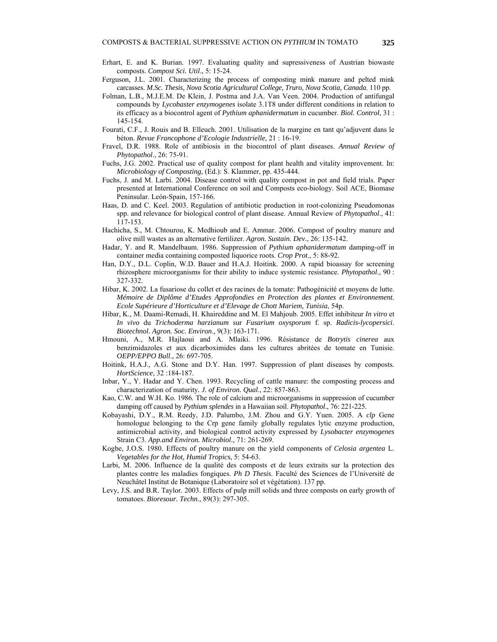- Erhart, E. and K. Burian. 1997. Evaluating quality and supressiveness of Austrian biowaste composts. *Compost Sci. Util*., 5: 15-24.
- Ferguson, J.L. 2001. Characterizing the process of composting mink manure and pelted mink carcasses. *M.Sc. Thesis, Nova Scotia Agricultural College, Truro, Nova Scotia, Canada*. 110 pp.
- Folman, L.B., M.J.E.M. De Klein, J. Postma and J.A. Van Veen. 2004. Production of antifungal compounds by *Lycobaster enzymogenes* isolate 3.1T8 under different conditions in relation to its efficacy as a biocontrol agent of *Pythium aphanidermatum* in cucumber. *Biol. Control*, 31 : 145-154.
- Fourati, C.F., J. Rouis and B. Elleuch. 2001. Utilisation de la margine en tant qu'adjuvent dans le béton. *Revue Francophone d'Ecologie Industrielle*, 21 : 16-19.
- Fravel, D.R. 1988. Role of antibiosis in the biocontrol of plant diseases. *Annual Review of Phytopathol*., 26: 75-91.
- Fuchs, J.G. 2002. Practical use of quality compost for plant health and vitality improvement. In: *Microbiology of Composting*, (Ed.): S. Klammer, pp. 435-444.
- Fuchs, J. and M. Larbi. 2004. Disease control with quality compost in pot and field trials. Paper presented at International Conference on soil and Composts eco-biology. Soil ACE, Biomase Peninsular. León-Spain, 157-166.
- Haas, D. and C. Keel. 2003. Regulation of antibiotic production in root-colonizing Pseudomonas spp. and relevance for biological control of plant disease. Annual Review of *Phytopathol*., 41: 117-153.
- Hachicha, S., M. Chtourou, K. Medhioub and E. Ammar. 2006. Compost of poultry manure and olive mill wastes as an alternative fertilizer. *Agron. Sustain*. *Dev*., 26: 135-142.
- Hadar, Y. and R. Mandelbaum. 1986. Suppression of *Pythium aphanidermatum* damping-off in container media containing composted liquorice roots. *Crop Prot*., 5: 88-92.
- Han, D.Y., D.L. Coplin, W.D. Bauer and H.A.J. Hoitink. 2000. A rapid bioassay for screening rhizosphere microorganisms for their ability to induce systemic resistance. *Phytopathol*., 90 : 327-332.
- Hibar, K. 2002. La fusariose du collet et des racines de la tomate: Pathogénicité et moyens de lutte. *Mémoire de Diplôme d'Etudes Approfondies en Protection des plantes et Environnement. Ecole Supérieure d'Horticulture et d'Elevage de Chott Mariem, Tunisia*, 54p.
- Hibar, K., M. Daami-Remadi, H. Khaireddine and M. El Mahjoub. 2005. Effet inhibiteur *In vitro* et *In vivo* du *Trichoderma harzianum* sur *Fusarium oxysporum* f. sp. *Radicis-lycopersici*. *Biotechnol. Agron. Soc. Environ*., 9(3): 163-171.
- Hmouni, A., M.R. Hajlaoui and A. Mlaiki. 1996. Résistance de *Botrytis cinerea* aux benzimidazoles et aux dicarboximides dans les cultures abritées de tomate en Tunisie. *OEPP/EPPO Bull*., 26: 697-705.
- Hoitink, H.A.J., A.G. Stone and D.Y. Han. 1997. Suppression of plant diseases by composts. *HortScience*, 32 :184-187.
- Inbar, Y., Y. Hadar and Y. Chen. 1993. Recycling of cattle manure: the composting process and characterization of maturity*. J. of Environ. Qual*., 22: 857-863.
- Kao, C.W. and W.H. Ko. 1986. The role of calcium and microorganisms in suppression of cucumber damping off caused by *Pythium splendes* in a Hawaiian soil. *Phytopathol*., 76: 221-225.
- Kobayashi, D.Y., R.M. Reedy, J.D. Palumbo, J.M. Zhou and G.Y. Yuen. 2005. A *clp* Gene homologue belonging to the Crp gene family globally regulates lytic enzyme production, antimicrobial activity, and biological control activity expressed by *Lysobacter enzymogenes*  Strain C3. *App.and Environ. Microbiol*., 71: 261-269.
- Kogbe, J.O.S. 1980. Effects of poultry manure on the yield components of *Celosia argentea* L. *Vegetables for the Hot, Humid Tropics*, 5: 54-63.
- Larbi, M. 2006. Influence de la qualité des composts et de leurs extraits sur la protection des plantes contre les maladies fongiques. *Ph D Thesis*. Faculté des Sciences de l'Université de Neuchâtel Institut de Botanique (Laboratoire sol et végétation). 137 pp.
- Levy, J.S. and B.R. Taylor. 2003. Effects of pulp mill solids and three composts on early growth of tomatoes. *Bioresour. Techn*., 89(3): 297-305.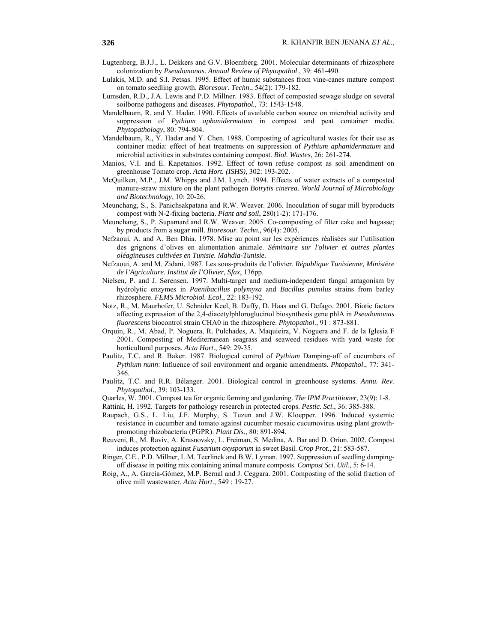- Lugtenberg, B.J.J., L. Dekkers and G.V. Bloemberg. 2001. Molecular determinants of rhizosphere colonization by *Pseudomonas*. *Annual Review of Phytopathol*., 39: 461-490.
- Lulakis, M.D. and S.I. Petsas. 1995. Effect of humic substances from vine-canes mature compost on tomato seedling growth. *Bioresour. Techn*., 54(2): 179-182.
- Lumsden, R.D., J.A. Lewis and P.D. Millner. 1983. Effect of composted sewage sludge on several soilborne pathogens and diseases. *Phytopathol*., 73: 1543-1548.
- Mandelbaum, R. and Y. Hadar. 1990. Effects of available carbon source on microbial activity and suppression of *Pythium aphanidermatum* in compost and peat container media. *Phytopathology*, 80: 794-804.
- Mandelbaum, R., Y. Hadar and Y. Chen. 1988. Composting of agricultural wastes for their use as container media: effect of heat treatments on suppression of *Pythium aphanidermatum* and microbial activities in substrates containing compost. *Biol. Wastes*, 26: 261-274.
- Manios, V.I. and E. Kapetanios. 1992. Effect of town refuse compost as soil amendment on greenhouse Tomato crop. *Acta Hort. (ISHS)*, 302: 193-202.
- McQuilken, M.P., J.M. Whipps and J.M. Lynch. 1994. Effects of water extracts of a composted manure-straw mixture on the plant pathogen *Botrytis cinerea*. *World Journal of Microbiology and Biotechnology*, 10: 20-26.
- Meunchang, S., S. Panichsakpatana and R.W. Weaver. 2006. Inoculation of sugar mill byproducts compost with N-2-fixing bacteria. *Plant and soil*, 280(1-2): 171-176.
- Meunchang, S., P. Supamard and R.W. Weaver. 2005. Co-composting of filter cake and bagasse; by products from a sugar mill. *Bioresour. Techn*., 96(4): 2005.
- Nefzaoui, A. and A. Ben Dhia. 1978. Mise au point sur les expériences réalisées sur l'utilisation des grignons d'olives en alimentation animale. *Séminaire sur l'olivier et autres plantes oléagineuses cultivées en Tunisie. Mahdia-Tunisie.*
- Nefzaoui, A. and M. Zidani. 1987. Les sous-produits de l'olivier. *République Tunisienne, Ministère de l'Agriculture. Institut de l'Olivier, Sfax*, 136pp.
- Nielsen, P. and J. Sørensen. 1997. Multi-target and medium-independent fungal antagonism by hydrolytic enzymes in *Paenibacillus polymyxa* and *Bacillus pumilus* strains from barley rhizosphere. *FEMS Microbiol. Ecol*., 22: 183-192.
- Notz, R., M. Maurhofer, U. Schnider Keel, B. Duffy, D. Haas and G. Defago. 2001. Biotic factors affecting expression of the 2,4-diacetylphloroglucinol biosynthesis gene phlA in *Pseudomonas fluorescens* biocontrol strain CHA0 in the rhizosphere. *Phytopathol*., 91 : 873-881.
- Orquín, R., M. Abad, P. Noguera, R. Pulchades, A. Maquieira, V. Noguera and F. de la Iglesia F 2001. Composting of Mediterranean seagrass and seaweed residues with yard waste for horticultural purposes. *Acta Hort*., 549: 29-35.
- Paulitz, T.C. and R. Baker. 1987. Biological control of *Pythium* Damping-off of cucumbers of *Pythium nunn*: Influence of soil environment and organic amendments. *Phtopathol*., 77: 341- 346.
- Paulitz, T.C. and R.R. Bélanger. 2001. Biological control in greenhouse systems. *Annu. Rev. Phytopathol*., 39: 103-133.
- Quarles, W. 2001. Compost tea for organic farming and gardening. *The IPM Practitioner*, 23(9): 1-8.
- Rattink, H. 1992. Targets for pathology research in protected crops. *Pestic. Sci*., 36: 385-388.
- Raupach, G.S., L. Liu, J.F. Murphy, S. Tuzun and J.W. Kloepper. 1996. Induced systemic resistance in cucumber and tomato against cucumber mosaic cucumovirus using plant growthpromoting rhizobacteria (PGPR). *Plant Dis*., 80: 891-894.
- Reuveni, R., M. Raviv, A. Krasnovsky, L. Freiman, S. Medina, A. Bar and D. Orion. 2002. Compost induces protection against *Fusarium oxysporum* in sweet Basil. *Crop Prot*., 21: 583-587.
- Ringer, C.E., P.D. Millner, L.M. Teerlinck and B.W. Lyman. 1997. Suppression of seedling dampingoff disease in potting mix containing animal manure composts. *Compost Sci*. *Util*., 5: 6-14.
- Roig, A., A. García-Gómez, M.P. Bernal and J. Ceggara. 2001. Composting of the solid fraction of olive mill wastewater. *Acta Hort*., 549 : 19-27.